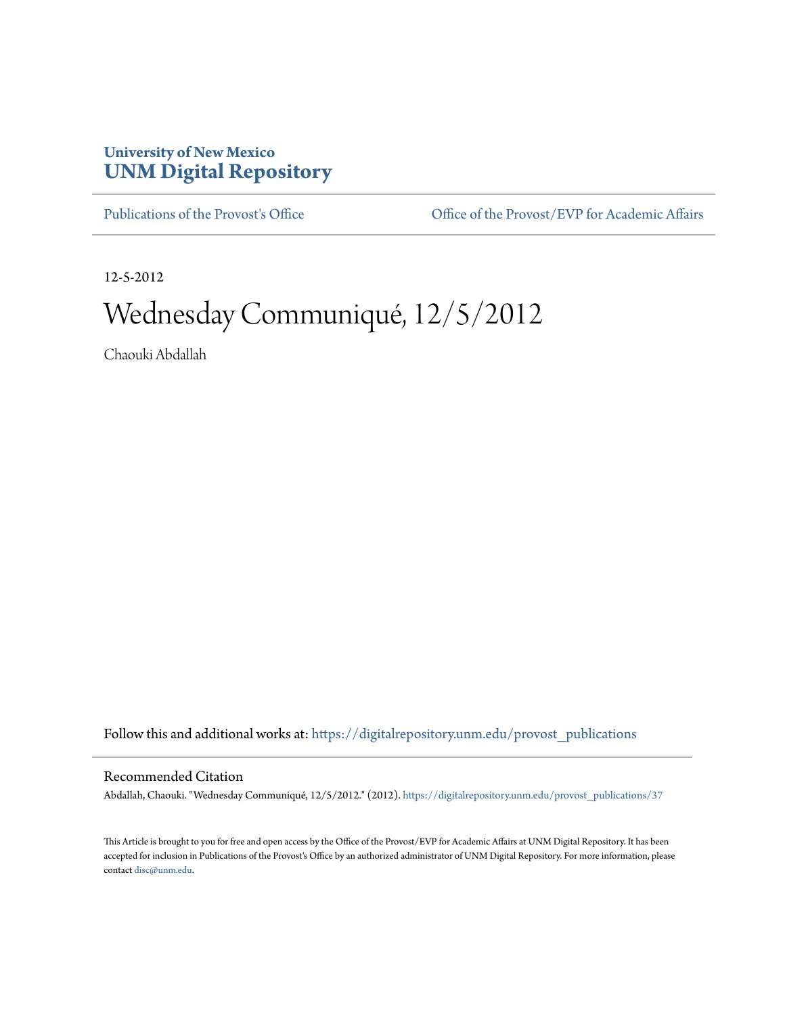## **University of New Mexico [UNM Digital Repository](https://digitalrepository.unm.edu?utm_source=digitalrepository.unm.edu%2Fprovost_publications%2F37&utm_medium=PDF&utm_campaign=PDFCoverPages)**

[Publications of the Provost's Office](https://digitalrepository.unm.edu/provost_publications?utm_source=digitalrepository.unm.edu%2Fprovost_publications%2F37&utm_medium=PDF&utm_campaign=PDFCoverPages) Office [Office of the Provost/EVP for Academic Affairs](https://digitalrepository.unm.edu/ofc_provost?utm_source=digitalrepository.unm.edu%2Fprovost_publications%2F37&utm_medium=PDF&utm_campaign=PDFCoverPages)

12-5-2012

# Wednesday Communiqué, 12/5/2012

Chaouki Abdallah

Follow this and additional works at: [https://digitalrepository.unm.edu/provost\\_publications](https://digitalrepository.unm.edu/provost_publications?utm_source=digitalrepository.unm.edu%2Fprovost_publications%2F37&utm_medium=PDF&utm_campaign=PDFCoverPages)

#### Recommended Citation

Abdallah, Chaouki. "Wednesday Communiqué, 12/5/2012." (2012). [https://digitalrepository.unm.edu/provost\\_publications/37](https://digitalrepository.unm.edu/provost_publications/37?utm_source=digitalrepository.unm.edu%2Fprovost_publications%2F37&utm_medium=PDF&utm_campaign=PDFCoverPages)

This Article is brought to you for free and open access by the Office of the Provost/EVP for Academic Affairs at UNM Digital Repository. It has been accepted for inclusion in Publications of the Provost's Office by an authorized administrator of UNM Digital Repository. For more information, please contact [disc@unm.edu.](mailto:disc@unm.edu)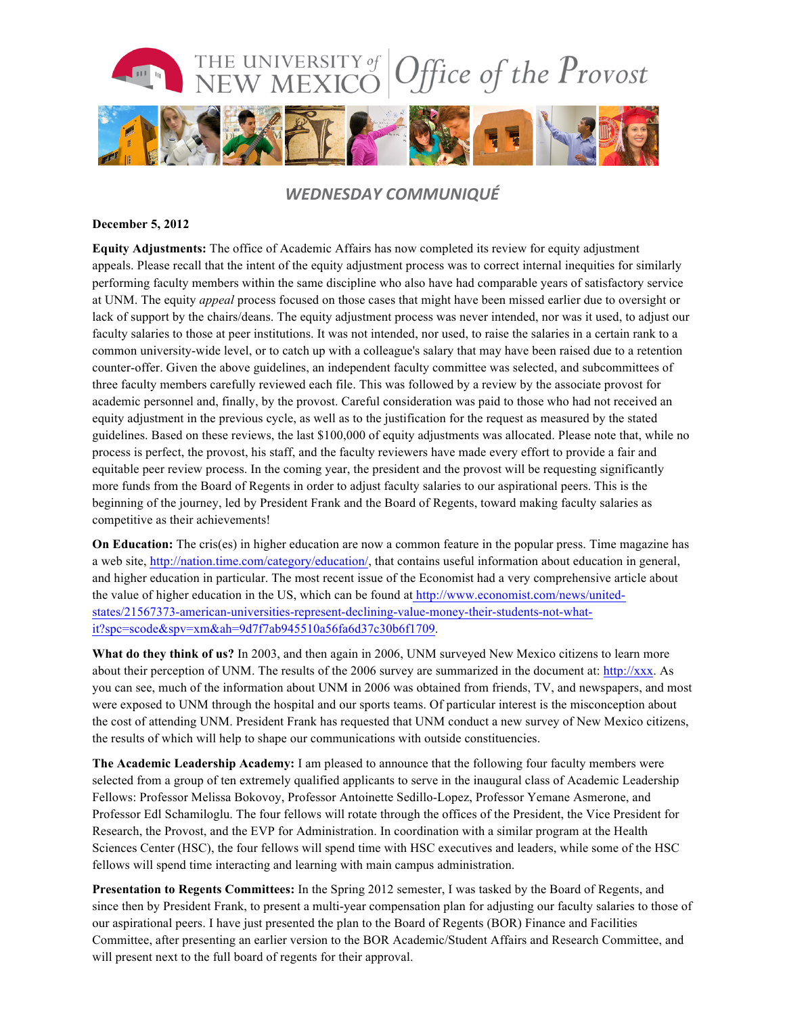

### *WEDNESDAY COMMUNIQUÉ*

#### **December 5, 2012**

**Equity Adjustments:** The office of Academic Affairs has now completed its review for equity adjustment appeals. Please recall that the intent of the equity adjustment process was to correct internal inequities for similarly performing faculty members within the same discipline who also have had comparable years of satisfactory service at UNM. The equity *appeal* process focused on those cases that might have been missed earlier due to oversight or lack of support by the chairs/deans. The equity adjustment process was never intended, nor was it used, to adjust our faculty salaries to those at peer institutions. It was not intended, nor used, to raise the salaries in a certain rank to a common university-wide level, or to catch up with a colleague's salary that may have been raised due to a retention counter-offer. Given the above guidelines, an independent faculty committee was selected, and subcommittees of three faculty members carefully reviewed each file. This was followed by a review by the associate provost for academic personnel and, finally, by the provost. Careful consideration was paid to those who had not received an equity adjustment in the previous cycle, as well as to the justification for the request as measured by the stated guidelines. Based on these reviews, the last \$100,000 of equity adjustments was allocated. Please note that, while no process is perfect, the provost, his staff, and the faculty reviewers have made every effort to provide a fair and equitable peer review process. In the coming year, the president and the provost will be requesting significantly more funds from the Board of Regents in order to adjust faculty salaries to our aspirational peers. This is the beginning of the journey, led by President Frank and the Board of Regents, toward making faculty salaries as competitive as their achievements!

**On Education:** The cris(es) in higher education are now a common feature in the popular press. Time magazine has a web site, http://nation.time.com/category/education/, that contains useful information about education in general, and higher education in particular. The most recent issue of the Economist had a very comprehensive article about the value of higher education in the US, which can be found at http://www.economist.com/news/unitedstates/21567373-american-universities-represent-declining-value-money-their-students-not-whatit?spc=scode&spv=xm&ah=9d7f7ab945510a56fa6d37c30b6f1709.

**What do they think of us?** In 2003, and then again in 2006, UNM surveyed New Mexico citizens to learn more about their perception of UNM. The results of the 2006 survey are summarized in the document at: http://xxx. As you can see, much of the information about UNM in 2006 was obtained from friends, TV, and newspapers, and most were exposed to UNM through the hospital and our sports teams. Of particular interest is the misconception about the cost of attending UNM. President Frank has requested that UNM conduct a new survey of New Mexico citizens, the results of which will help to shape our communications with outside constituencies.

**The Academic Leadership Academy:** I am pleased to announce that the following four faculty members were selected from a group of ten extremely qualified applicants to serve in the inaugural class of Academic Leadership Fellows: Professor Melissa Bokovoy, Professor Antoinette Sedillo-Lopez, Professor Yemane Asmerone, and Professor Edl Schamiloglu. The four fellows will rotate through the offices of the President, the Vice President for Research, the Provost, and the EVP for Administration. In coordination with a similar program at the Health Sciences Center (HSC), the four fellows will spend time with HSC executives and leaders, while some of the HSC fellows will spend time interacting and learning with main campus administration.

**Presentation to Regents Committees:** In the Spring 2012 semester, I was tasked by the Board of Regents, and since then by President Frank, to present a multi-year compensation plan for adjusting our faculty salaries to those of our aspirational peers. I have just presented the plan to the Board of Regents (BOR) Finance and Facilities Committee, after presenting an earlier version to the BOR Academic/Student Affairs and Research Committee, and will present next to the full board of regents for their approval.